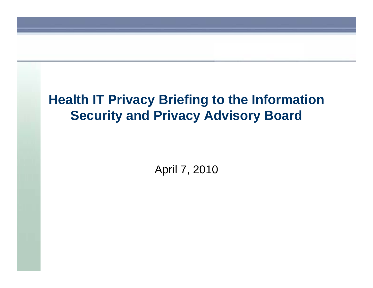## **Health IT Privacy Briefing to the Information Security and Privacy Advisory Board**

April 7, 2010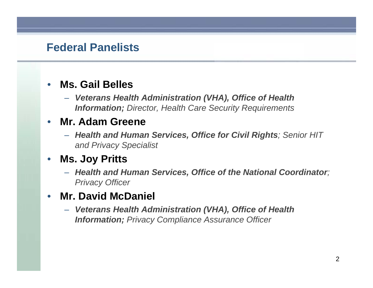#### **Federal Panelists**

#### • **Ms. Gail Belles**

– *Veterans Health Administration (VHA), Office of Health Information; Director, Health Care Security Requirements*

#### • **Mr. Adam Greene**

– *Health and Human Services, Office for Civil Rights; Senior HIT and Privacy Specialist*

#### • **Ms. Joy Pritts**

– *Health and Human Services, Office of the National Coordinator; Privacy Officer*

#### • **Mr. David McDaniel**

– *Veterans Health Administration (VHA), Office of Health Information; Privacy Compliance Assurance Officer*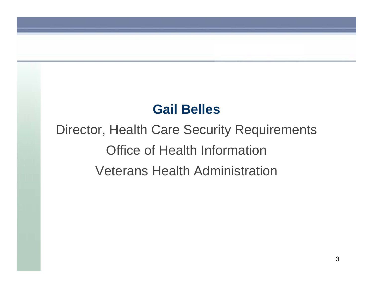## **Gail Belles**

# Director, Health Care Security Requirements Office of Health InformationVeterans Health Administration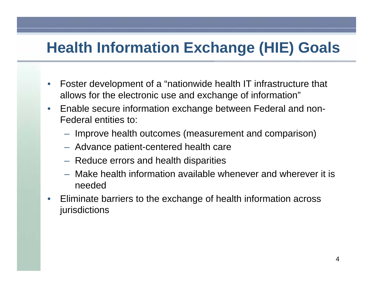## **Health Information Exchange (HIE) Goals**

- Foster development of a "nationwide health IT infrastructure that allows for the electronic use and exchange of information"
- Enable secure information exchange between Federal and non-Federal entities to:
	- Improve health outcomes (measurement and comparison)
	- Advance patient-centered health care
	- Reduce errors and health disparities
	- Make health information available whenever and wherever it is needed
- Eliminate barriers to the exchange of health information across jurisdictions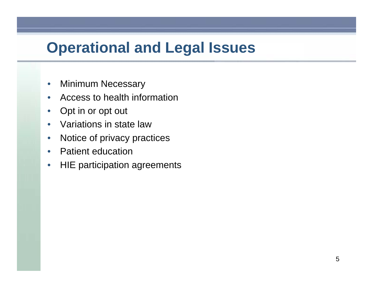## **Operational and Legal Issues**

- Minimum Necessary
- Access to health information
- Opt in or opt out
- Variations in state law
- Notice of privacy practices
- Patient education
- HIE participation agreements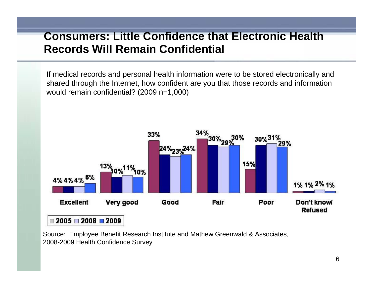#### **Consumers: Little Confidence that Electronic Health Records Will Remain Confidential**

If medical records and personal health information were to be stored electronically and shared through the Internet, how confident are you that those records and information would remain confidential? (2009 n=1,000)



Source: Employee Benefit Research Institute and Mathew Greenwald & Associates, 2008-2009 Health Confidence Survey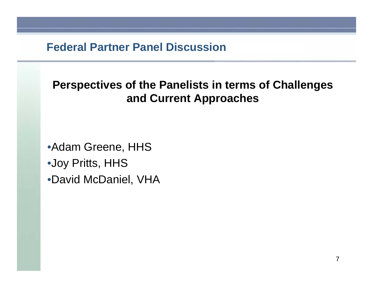**Federal Partner Panel Discussion**

#### **Perspectives of the Panelists in terms of Challenges and Current Approaches**

•Adam Greene, HHS •Joy Pritts, HHS

•David McDaniel, VHA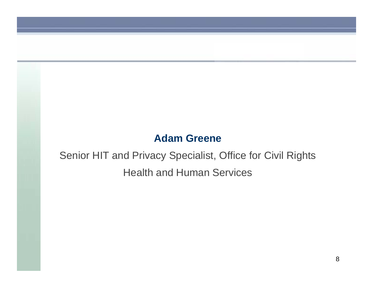#### **Adam Greene**

## Senior HIT and Privacy Specialist, Office for Civil Rights Health and Human Services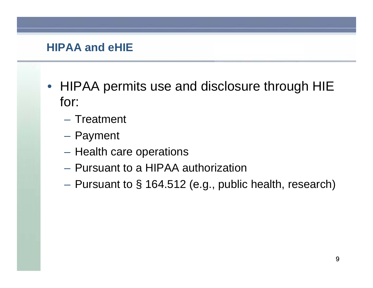- HIPAA permits use and disclosure through HIE for:
	- Treatment
	- Payment
	- Health care operations
	- Pursuant to a HIPAA authorization
	- Pursuant to  $\S$  164.512 (e.g., public health, research)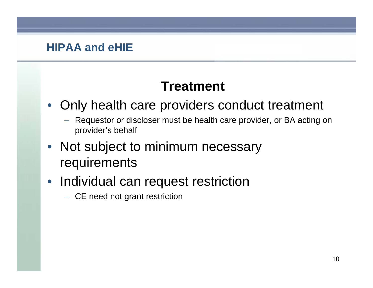## **Treatment**

- Only health care providers conduct treatment
	- Requestor or discloser must be health care provider, or BA acting on provider's behalf
- Not subject to minimum necessary requirements
- Individual can request restriction
	- CE need not grant restriction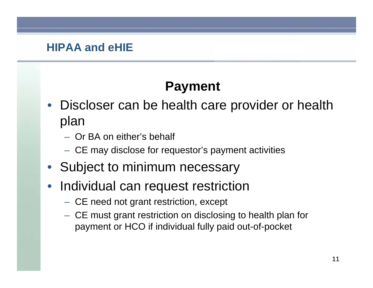## **Payment**

- Discloser can be health care provider or health plan
	- Or BA on either's behalf
	- CE may disclose for requestor's payment activities
- Subject to minimum necessary
- Individual can request restriction
	- CE need not grant restriction, except
	- CE must grant restriction on disclosing to health plan for payment or HCO if individual fully paid out-of-pocket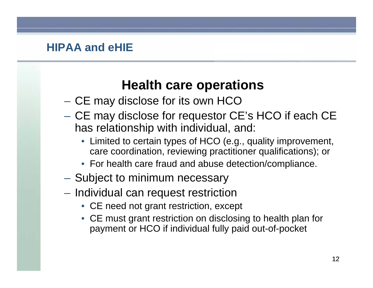## **Health care operations**

- CE may disclose for its own HCO
- CE may disclose for requestor CE's HCO if each CE has relationship with individual, and:
	- Limited to certain types of HCO (e.g., quality improvement, care coordination, reviewing practitioner qualifications); or
	- For health care fraud and abuse detection/compliance.
- Subject to minimum necessary
- Individual can request restriction
	- CE need not grant restriction, except
	- CE must grant restriction on disclosing to health plan for payment or HCO if individual fully paid out-of-pocket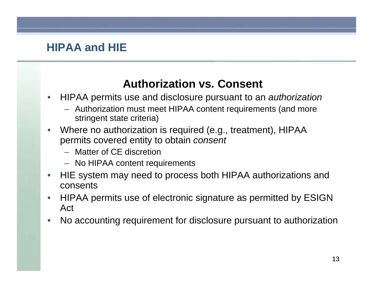#### **Authorization vs. Consent**

- HIPAA permits use and disclosure pursuant to an *authorization* 
	- Authorization must meet HIPAA content requirements (and more stringent state criteria)
- Where no authorization is required (e.g., treatment), HIPAA permits covered entity to obtain *consent*
	- Matter of CE discretion
	- No HIPAA content requirements
- HIE system may need to process both HIPAA authorizations and consents
- HIPAA permits use of electronic signature as permitted by ESIGN Act
- No accounting requirement for disclosure pursuant to authorization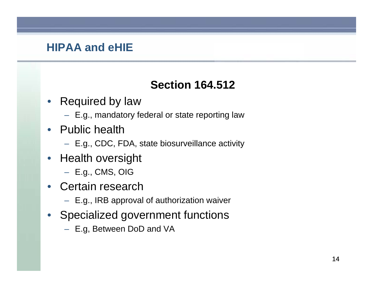### **Section 164.512**

- Required by law
	- E.g., mandatory federal or state reporting law
- Public health
	- E.g., CDC, FDA, state biosurveillance activity
- Health oversight
	- E.g., CMS, OIG
- Certain research
	- E.g., IRB approval of authorization waiver
- Specialized government functions
	- E.g, Between DoD and VA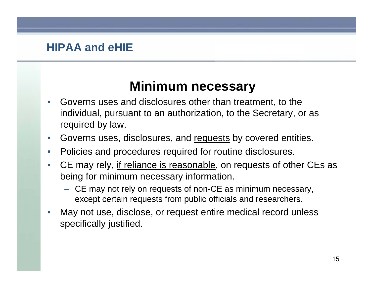## **Minimum necessary**

- Governs uses and disclosures other than treatment, to the individual, pursuant to an authorization, to the Secretary, or as required by law.
- Governs uses, disclosures, and requests by covered entities.
- Policies and procedures required for routine disclosures.
- CE may rely, if reliance is reasonable, on requests of other CEs as being for minimum necessary information.
	- CE may not rely on requests of non-CE as minimum necessary, except certain requests from public officials and researchers.
- May not use, disclose, or request entire medical record unless specifically justified.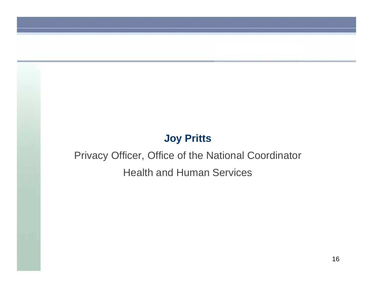#### **Joy Pritts**

## Privacy Officer, Office of the National Coordinator Health and Human Services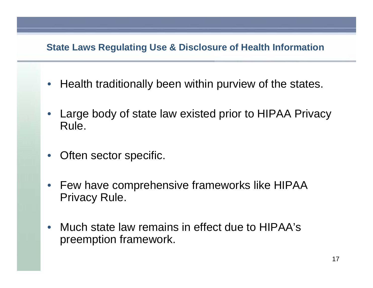#### **State Laws Regulating Use & Disclosure of Health Information**

- Health traditionally been within purview of the states.
- Large body of state law existed prior to HIPAA Privacy Rule.
- Often sector specific.
- Few have comprehensive frameworks like HIPAA Privacy Rule.
- Much state law remains in effect due to HIPAA's preemption framework.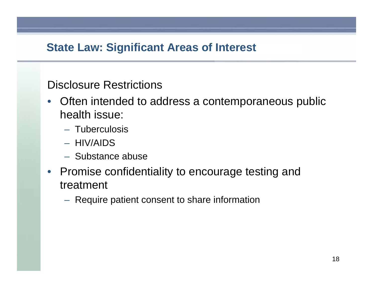#### **State Law: Significant Areas of Interest**

#### Disclosure Restrictions

- Often intended to address a contemporaneous public health issue:
	- Tuberculosis
	- HIV/AIDS
	- Substance abuse
- Promise confidentiality to encourage testing and treatment
	- Require patient consent to share information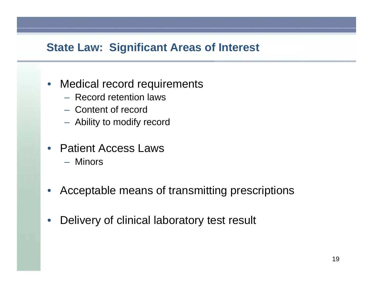#### **State Law: Significant Areas of Interest**

- Medical record requirements
	- Record retention laws
	- Content of record
	- Ability to modify record
- Patient Access Laws
	- Minors
- Acceptable means of transmitting prescriptions
- Delivery of clinical laboratory test result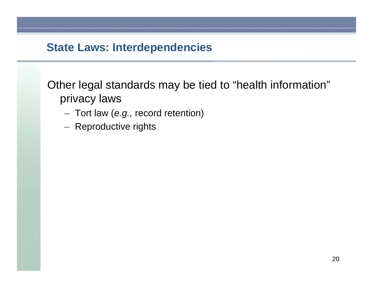#### **State Laws: Interdependencies**

Other legal standards may be tied to "health information" privacy laws

- Tort law (*e.g.,* record retention)
- Reproductive rights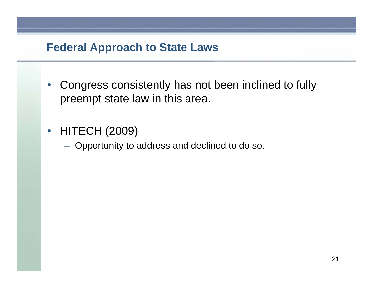#### **Federal Approach to State Laws**

- Congress consistently has not been inclined to fully preempt state law in this area.
- HITECH (2009)
	- Opportunity to address and declined to do so.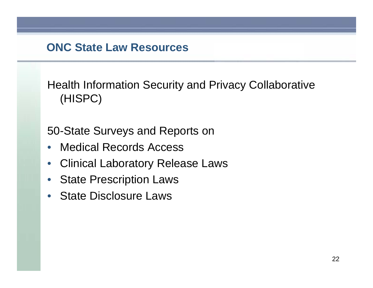#### **ONC State Law Resources**

Health Information Security and Privacy Collaborative (HISPC)

50-State Surveys and Reports on

- Medical Records Access
- Clinical Laboratory Release Laws
- **State Prescription Laws**
- State Disclosure Laws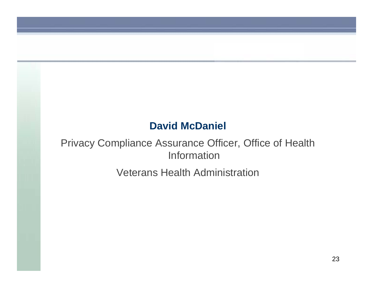#### **David McDaniel**

#### Privacy Compliance Assurance Officer, Office of Health **Information**

Veterans Health Administration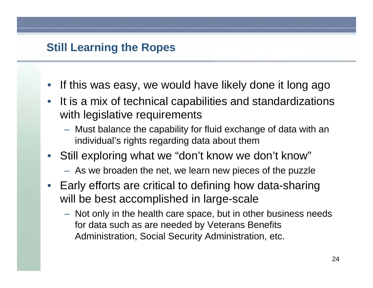#### **Still Learning the Ropes**

- If this was easy, we would have likely done it long ago
- It is a mix of technical capabilities and standardizations with legislative requirements
	- Must balance the capability for fluid exchange of data with an individual's rights regarding data about them
- Still exploring what we "don't know we don't know"
	- As we broaden the net, we learn new pieces of the puzzle
- Early efforts are critical to defining how data-sharing will be best accomplished in large-scale
	- Not only in the health care space, but in other business needs for data such as are needed by Veterans Benefits Administration, Social Security Administration, etc.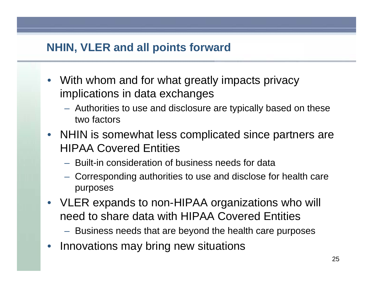#### **NHIN, VLER and all points forward**

- With whom and for what greatly impacts privacy implications in data exchanges
	- Authorities to use and disclosure are typically based on these two factors
- NHIN is somewhat less complicated since partners are HIPAA Covered Entities
	- Built-in consideration of business needs for data
	- Corresponding authorities to use and disclose for health care purposes
- VLER expands to non-HIPAA organizations who will need to share data with HIPAA Covered Entities
	- Business needs that are beyond the health care purposes
- Innovations may bring new situations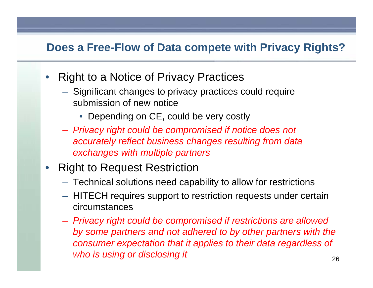- Right to a Notice of Privacy Practices
	- Significant changes to privacy practices could require submission of new notice
		- Depending on CE, could be very costly
	- *Privacy right could be compromised if notice does not accurately reflect business changes resulting from data exchanges with multiple partners*
- Right to Request Restriction
	- Technical solutions need capability to allow for restrictions
	- HITECH requires support to restriction requests under certain circumstances
	- *Privacy right could be compromised if restrictions are allowed by some partners and not adhered to by other partners with the consumer expectation that it applies to their data regardless of who is using or disclosing it* 26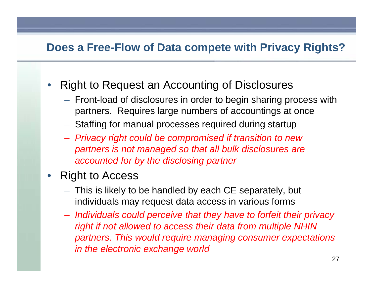- Right to Request an Accounting of Disclosures
	- Front-load of disclosures in order to begin sharing process with partners. Requires large numbers of accountings at once
	- Staffing for manual processes required during startup
	- *Privacy right could be compromised if transition to new partners is not managed so that all bulk disclosures are accounted for by the disclosing partner*

#### • Right to Access

- This is likely to be handled by each CE separately, but individuals may request data access in various forms
- *Individuals could perceive that they have to forfeit their privacy right if not allowed to access their data from multiple NHIN partners. This would require managing consumer expectations in the electronic exchange world*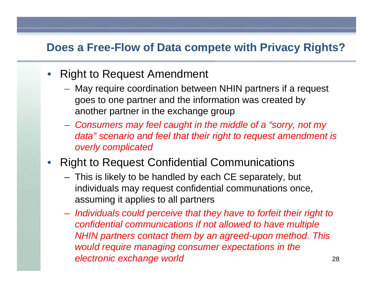- **Right to Request Amendment** 
	- May require coordination between NHIN partners if a request goes to one partner and the information was created by another partner in the exchange group
	- *Consumers may feel caught in the middle of a "sorry, not my data" scenario and feel that their right to request amendment is overly complicated*
- Right to Request Confidential Communications
	- This is likely to be handled by each CE separately, but individuals may request confidential communations once, assuming it applies to all partners
	- *Individuals could perceive that they have to forfeit their right to confidential communications if not allowed to have multiple NHIN partners contact them by an agreed-upon method. This would require managing consumer expectations in the electronic exchange world* 28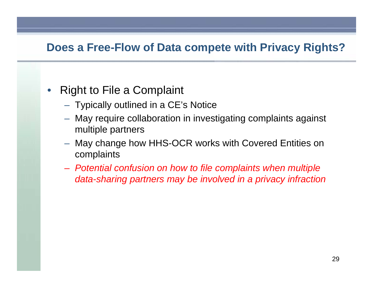- Right to File a Complaint
	- Typically outlined in a CE's Notice
	- May require collaboration in investigating complaints against multiple partners
	- May change how HHS-OCR works with Covered Entities on complaints
	- *Potential confusion on how to file complaints when multiple data-sharing partners may be involved in a privacy infraction*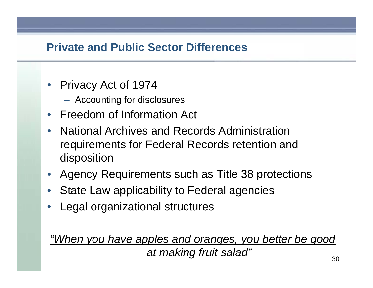#### **Private and Public Sector Differences**

- Privacy Act of 1974
	- Accounting for disclosures
- Freedom of Information Act
- National Archives and Records Administration requirements for Federal Records retention and disposition
- Agency Requirements such as Title 38 protections
- State Law applicability to Federal agencies
- Legal organizational structures

### *"When you have apples and oranges, you better be good at making fruit salad"*  $30$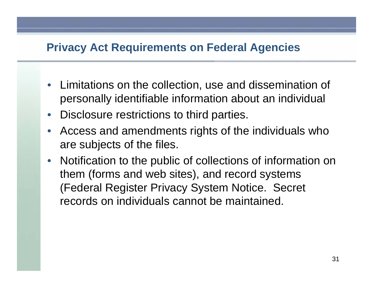#### **Privacy Act Requirements on Federal Agencies**

- Limitations on the collection, use and dissemination of personally identifiable information about an individual
- Disclosure restrictions to third parties.
- Access and amendments rights of the individuals who are subjects of the files.
- Notification to the public of collections of information on them (forms and web sites), and record systems (Federal Register Privacy System Notice. Secret records on individuals cannot be maintained.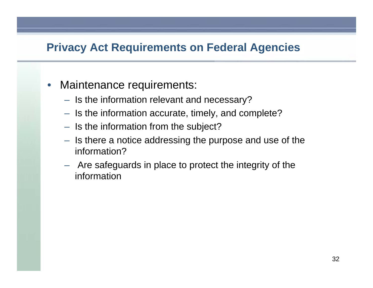#### **Privacy Act Requirements on Federal Agencies**

- Maintenance requirements:
	- Is the information relevant and necessary?
	- Is the information accurate, timely, and complete?
	- Is the information from the subject?
	- Is there a notice addressing the purpose and use of the information?
	- Are safeguards in place to protect the integrity of the information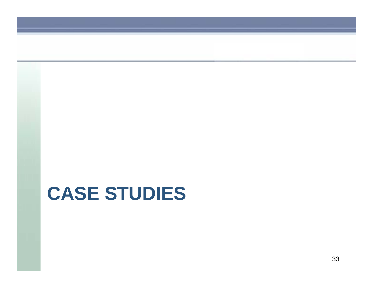# **CASE STUDIES**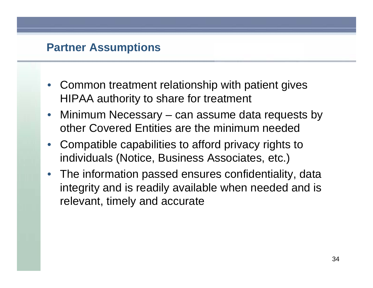#### **Partner Assumptions**

- Common treatment relationship with patient gives HIPAA authority to share for treatment
- Minimum Necessary can assume data requests by other Covered Entities are the minimum needed
- Compatible capabilities to afford privacy rights to individuals (Notice, Business Associates, etc.)
- The information passed ensures confidentiality, data integrity and is readily available when needed and is relevant, timely and accurate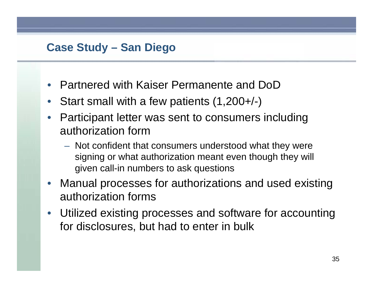#### **Case Study – San Diego**

- Partnered with Kaiser Permanente and DoD
- Start small with a few patients (1,200+/-)
- Participant letter was sent to consumers including authorization form
	- Not confident that consumers understood what they were signing or what authorization meant even though they will given call-in numbers to ask questions
- Manual processes for authorizations and used existing authorization forms
- Utilized existing processes and software for accounting for disclosures, but had to enter in bulk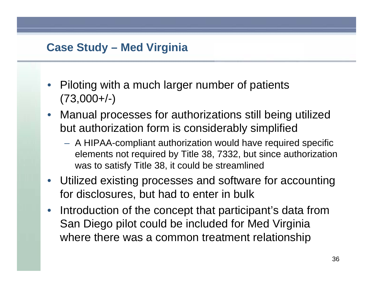#### **Case Study – Med Virginia**

- Piloting with a much larger number of patients  $(73,000+\{-)$
- Manual processes for authorizations still being utilized but authorization form is considerably simplified
	- A HIPAA-compliant authorization would have required specific elements not required by Title 38, 7332, but since authorization was to satisfy Title 38, it could be streamlined
- Utilized existing processes and software for accounting for disclosures, but had to enter in bulk
- Introduction of the concept that participant's data from San Diego pilot could be included for Med Virginia where there was a common treatment relationship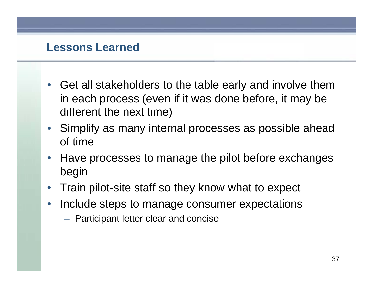#### **Lessons Learned**

- Get all stakeholders to the table early and involve them in each process (even if it was done before, it may be different the next time)
- Simplify as many internal processes as possible ahead of time
- Have processes to manage the pilot before exchanges begin
- Train pilot-site staff so they know what to expect
- Include steps to manage consumer expectations
	- Participant letter clear and concise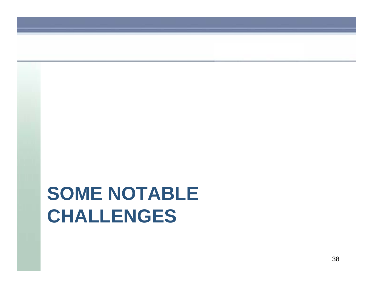# **SOME NOTABLE CHALLENGES**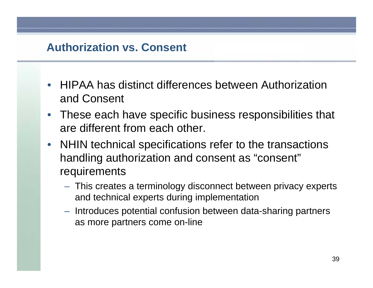#### **Authorization vs. Consent**

- HIPAA has distinct differences between Authorization and Consent
- These each have specific business responsibilities that are different from each other.
- NHIN technical specifications refer to the transactions handling authorization and consent as "consent" requirements
	- This creates a terminology disconnect between privacy experts and technical experts during implementation
	- Introduces potential confusion between data-sharing partners as more partners come on-line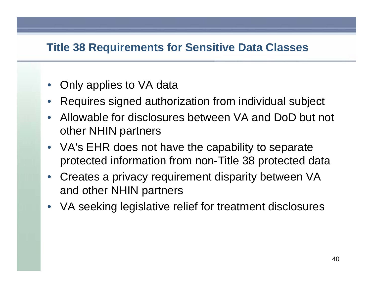#### **Title 38 Requirements for Sensitive Data Classes**

- Only applies to VA data
- Requires signed authorization from individual subject
- Allowable for disclosures between VA and DoD but not other NHIN partners
- VA's EHR does not have the capability to separate protected information from non-Title 38 protected data
- Creates a privacy requirement disparity between VA and other NHIN partners
- VA seeking legislative relief for treatment disclosures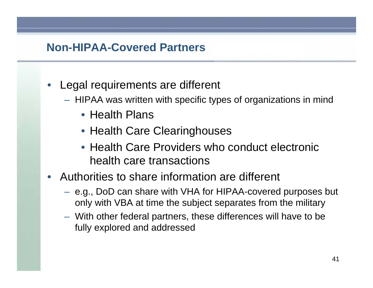#### **Non-HIPAA-Covered Partners**

- Legal requirements are different
	- HIPAA was written with specific types of organizations in mind
		- Health Plans
		- Health Care Clearinghouses
		- Health Care Providers who conduct electronic health care transactions
- Authorities to share information are different
	- e.g., DoD can share with VHA for HIPAA-covered purposes but only with VBA at time the subject separates from the military
	- With other federal partners, these differences will have to be fully explored and addressed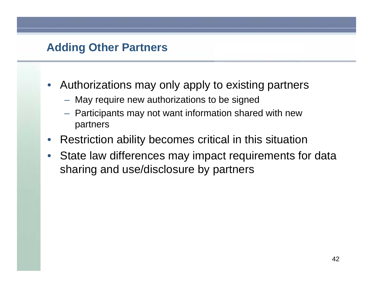#### **Adding Other Partners**

- Authorizations may only apply to existing partners
	- May require new authorizations to be signed
	- Participants may not want information shared with new partners
- Restriction ability becomes critical in this situation
- State law differences may impact requirements for data sharing and use/disclosure by partners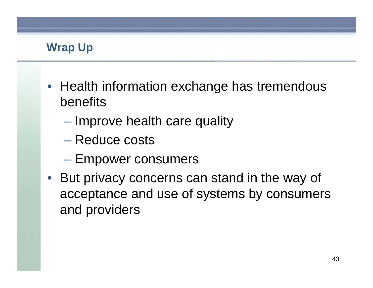#### **Wrap Up**

- Health information exchange has tremendous benefits
	- Improve health care quality
	- Reduce costs
	- Empower consumers
- But privacy concerns can stand in the way of acceptance and use of systems by consumers and providers